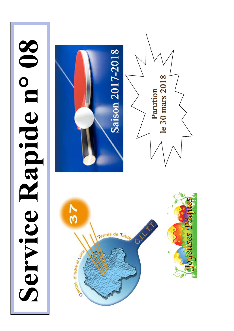

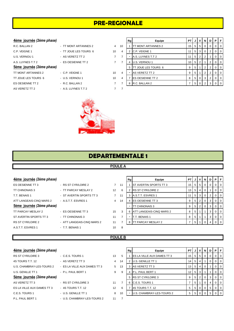## **PRE-REGIONALE**

#### **4ème** journée (2ème phase)

| R.C. BALLAN 2             | - TT MONT ARTANNES 2  | 4  | 10             |
|---------------------------|-----------------------|----|----------------|
| C.P. VEIGNE 1             | - TT JOUE LES TOURS 6 | 10 | $\overline{4}$ |
| U.S. VERNOU 1             | - AS VERETZ TT 2      | 7  | 7              |
| A.S. LUYNES T.T 2         | - ES OESIENNE TT 2    | 7  | 7              |
| 5ème journée (2ème phase) |                       |    |                |
| TT MONT ARTANNES 2        | - C.P. VEIGNE 1       | 10 | $\overline{4}$ |
| TT JOUE LES TOURS 6       | - U.S. VERNOU 1       | 10 | $\overline{4}$ |
| ES OESIENNE TT 2          | - R.C. BALLAN 2       | 7  | 7              |
| AS VERETZ TT 2            | - A.S. LUYNES T.T 2   |    | 7              |
|                           |                       |    |                |

| 4ème j <u>ournée</u> (2è <i>me phase)</i> |                       |    |    | Rg | Equipe                  | PT I            |                | JVN             |          | D        | PF     |         |
|-------------------------------------------|-----------------------|----|----|----|-------------------------|-----------------|----------------|-----------------|----------|----------|--------|---------|
| R.C. BALLAN 2                             | - TT MONT ARTANNES 2  | 4  | 10 |    | TT MONT ARTANNES 2      | 15 <sup>1</sup> |                | 555             | - 0      | $\Omega$ | $01$ 0 |         |
| C.P. VEIGNE 1                             | - TT JOUE LES TOURS 6 | 10 | 4  |    | C.P. VEIGNE 1           | 11 <sup>1</sup> |                | 5 3             | $\Omega$ | 2        |        | $01$ 0  |
| U.S. VERNOU 1                             | - AS VERETZ TT 2      |    |    |    | A.S. LUYNES T.T 2       | 11              |                | 5 2 1           |          |          | $01$ 0 |         |
| A.S. LUYNES T.T 2                         | - ES OESIENNE TT 2    |    |    |    | U.S. VERNOU 1           | 10 <sup>1</sup> |                | $5 \mid 2 \mid$ |          | 2        | $01$ 0 |         |
| 5ème journée (2ème phase)                 |                       |    |    |    | 5 TT JOUE LES TOURS 6   | 9               | 5 <sub>1</sub> |                 | 2        |          | $01$ 0 |         |
| TT MONT ARTANNES 2                        | - C.P. VEIGNE 1       | 10 | 4  |    | AS VERETZ TT 2          | 9               | 5              |                 | 2        |          | $01$ 0 |         |
| TT JOUE LES TOURS 6                       | - U.S. VERNOU 1       | 10 | 4  |    | <b>ES OESIENNE TT 2</b> | 8               | 5 <sup>1</sup> | $\overline{0}$  | -3       | 2        | $01$ 0 |         |
| ES OESIENNE TT 2                          | - R.C. BALLAN 2       |    |    | 8  | R.C. BALLAN 2           |                 | 5 <sup>1</sup> | $\Omega$        |          | 3        |        | $0$   0 |

## **DEPARTEMENTALE 1**

#### **POULE A**

| 4ème journée (2ème phase) |                            |                 |    | Rg | Equipe                         | PT              |                | V.              | N I            | D I            | PIF            |     |
|---------------------------|----------------------------|-----------------|----|----|--------------------------------|-----------------|----------------|-----------------|----------------|----------------|----------------|-----|
| ES OESIENNE TT 3          | - RS ST CYR/LOIRE 2        |                 | 11 |    | <b>IST AVERTIN SPORTS TT 3</b> | 15 <sup>1</sup> | 5 <sup>1</sup> | 5 <sub>1</sub>  | $\Omega$       |                | 0 0 0          |     |
| TT CHINONAIS 3            | - TT PARCAY MESLAY 2       | 12 <sup>2</sup> | -6 |    | <b>RS ST CYR/LOIRE 2</b>       | 13 <sup>1</sup> | 5 <sup>1</sup> | 4               |                |                | $\Omega$       | I 0 |
| T.T. BENAIS 1             | - ST AVERTIN SPORTS TT 3   | $\overline{7}$  | 11 |    | 3 A.S.T.T. ESVRES 1            |                 |                | $5 \mid 3 \mid$ | $\Omega$       |                | 2 0 0          |     |
| ATT LANGEAIS-CINO MARS 2  | - A.S.T.T. ESVRES 1        | $\overline{4}$  | 14 | 4  | <b>IES OESIENNE TT 3</b>       | 9               | 5              | $\overline{2}$  | $\overline{0}$ | 3 <sup>1</sup> | 0 <sub>0</sub> |     |
| 5ème journée (2ème phase) |                            |                 |    | ۰  | <b>ITT CHINONAIS 3</b>         | 9               | 5 <sup>1</sup> | 2 <sup>1</sup>  | $\overline{0}$ |                | 300            |     |
| TT PARCAY MESLAY 2        | - ES OESIENNE TT 3         | 15              | 3  |    | 6 ATT LANGEAIS-CINQ MARS 2     | 8               | 5 <sup>1</sup> | $\mathbf 1$     |                | 3 <sup>1</sup> | $01$ 0         |     |
| ST AVERTIN SPORTS TT 3    | - TT CHINONAIS 3           | 11              |    | ۰  | T.T. BENAIS 1                  | 8               | 5 <sup>1</sup> |                 |                | 3 <sup>1</sup> | $\mathbf 0$    | I 0 |
| <b>RS ST CYR/LOIRE 2</b>  | - ATT LANGEAIS-CINQ MARS 2 | 11              |    | 8  | <b>ITT PARCAY MESLAY 2</b>     |                 | 5 <sup>1</sup> |                 |                | 4              |                |     |
| A S.T.T. ESVRES 1         | - T.T. BENAIS 1            | 10              | 8  |    |                                |                 |                |                 |                |                |                |     |

#### **POULE B**

| RS ST CYR/LOIRE 3          | $-C.E.S. T($ |
|----------------------------|--------------|
| 4S TOURS T.T. 12           | - AS VERE    |
| U.S. CHAMBRAY-LES-TOURS 2  | - ES LA VI   |
| U.S. GENILLE TT 1          | - P.L. PAU   |
| 5ème journée (2ème phase)  |              |
| AS VERETZ TT 3             | - RS ST C'   |
| ES LA VILLE AUX DAMES TT 3 | - 4S TOUF    |
|                            |              |

# ILLE AUX DAMES TT 3 5 C.E.S. TOURS 1 - U.S. GENILLE TT 1 8 P.L. PAUL BERT 1 - U.S. CHAMBRAY-LES-TOURS 2 11 7

| PIF<br>D I                                               |
|----------------------------------------------------------|
|                                                          |
| $01$ 0<br>0                                              |
| $0$   $0$                                                |
| 0 <sub>0</sub>                                           |
| 0 <sub>0</sub>                                           |
| $01$ 0<br>3                                              |
| $01$ 0                                                   |
| $01$ 0<br>5                                              |
| $0$   0<br>5                                             |
| $\Omega$<br>$\Omega$<br>$\Omega$<br>$\Omega$<br>$\Omega$ |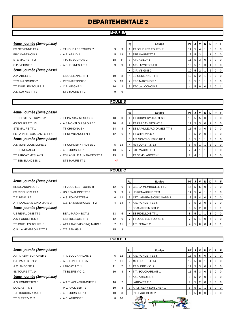#### **POULE A**

| 4ème journée (2ème phase) |                       |    |                |
|---------------------------|-----------------------|----|----------------|
| <b>ES OESIENNE TT 4</b>   | - TT JOUE LES TOURS 7 | 9  | 9              |
| <b>PPC MARTINOIS 1</b>    | - A.P. ABILLY 1       | 5  | 13             |
| STE MAURE TT 2            | - TTC du LOCHOIS 2    | 18 | F              |
| C.P. VEIGNE 2             | - A.S. LUYNES T.T 3   | 9  | 9              |
| 5ème journée (2ème phase) |                       |    |                |
| A.P. ABILLY 1             | - ES OESIENNE TT 4    | 10 | -8             |
| TTC du LOCHOIS 2          | - PPC MARTINOIS 1     | 5  | 13             |
| TT JOUE LES TOURS 7       | - C.P. VEIGNE 2       | 16 | $\overline{2}$ |
| A.S. LUYNES T.T 3         | - STE MAURE TT 2      | 9  | 9              |

| 4ème journée (2ème phase) |                       |    |    | Rg | Equipe                   | PT J V N        |                    |     |                | $\overline{D}$ | PF             |                |
|---------------------------|-----------------------|----|----|----|--------------------------|-----------------|--------------------|-----|----------------|----------------|----------------|----------------|
| ES OESIENNE TT 4          | - TT JOUE LES TOURS 7 | 9  | 9  |    | TT JOUE LES TOURS 7      |                 | $14 \mid 5 \mid$   | 4   |                | 0              | 0 <sup>1</sup> |                |
| PPC MARTINOIS 1           | - A.P. ABILLY 1       | 5  | 13 |    | STE MAURE TT 2           | 12 <sub>1</sub> |                    | 5 3 |                |                |                | 0 <sub>0</sub> |
| STE MAURE TT 2            | - TTC du LOCHOIS 2    | 18 | F  |    | A.P. ABILLY 1            |                 | 1531               |     | $\overline{0}$ |                | $01$ 0         |                |
| C.P. VEIGNE 2             | - A.S. LUYNES T.T 3   | 9  | 9  |    | A.S. LUYNES T.T 3        |                 | $10$   5           |     | 3              |                |                | 0 <sub>0</sub> |
| 5ème journée (2ème phase) |                       |    |    |    | C.P. VEIGNE 2            |                 | $10 \mid 5 \mid 2$ |     |                |                | $01$ 0         |                |
| A.P. ABILLY 1             | - ES OESIENNE TT 4    | 10 | 8  |    | <b>IES OESIENNE TT 4</b> |                 | $10 \mid 5 \mid 2$ |     |                | 2              | $01$ 0         |                |
| TTC du LOCHOIS 2          | - PPC MARTINOIS 1     | 5  | 13 |    | <b>PPC MARTINOIS 1</b>   | 8               | 51                 |     |                | 3              | $01$ 0         |                |
| TT JOUE LES TOURS 7       | - C.P. VEIGNE 2       | 16 | 2  | 8  | TTC du LOCHOIS 2         |                 | 50                 |     |                |                |                |                |
|                           |                       |    |    |    |                          |                 |                    |     |                |                |                |                |

#### **POULE B**

| 4ème journée (2ème phase)  |                              |                |    | Rg | Equipe                            | <b>PT</b> | J            | v | ΝI             | D | P              | F |
|----------------------------|------------------------------|----------------|----|----|-----------------------------------|-----------|--------------|---|----------------|---|----------------|---|
| TT CORMERY-TRUYES 2        | - TT PARCAY MESLAY 3         | 18             | 0  |    | <b>ITT CORMERY-TRUYES 2</b>       | 15        | 5            | 5 | $\overline{0}$ | 0 | 0 <sup>1</sup> |   |
| 4S TOURS T.T. 13           | - A.S MONTLOUIS/LOIRE 1      | 10             | 8  |    | <b>ITT PARCAY MESLAY 3</b>        | 11        | 5            | 3 | 0 <sup>1</sup> | 2 | 0 <sup>1</sup> |   |
| STE MAURE TT 1             | - TT CHINONAIS 4             | 14             | 4  |    | <b>ES LA VILLE AUX DAMES TT 4</b> | 11        | $.5^{\circ}$ | 3 | 0              |   | 0 <sub>1</sub> |   |
| ES LA VILLE AUX DAMES TT 4 | - TT SEMBLANCEEN 1           | 12             | 6  |    | <b>ITT CHINONAIS 4</b>            | 9         | . 5          | 2 | $\overline{0}$ | 3 | 0 <sup>1</sup> |   |
| 5ème journée (2ème phase)  |                              |                |    | 5  | A.S MONTLOUIS/LOIRE 1             | 8         | 5            |   |                | 3 | 0 <sup>1</sup> |   |
| A.S.MONTLOUIS/LOIRE 1      | - TT CORMERY-TRUYES 2        | 5 <sup>5</sup> | 13 |    | 4S TOURS T.T. 13                  | 8         | 5            |   |                | 3 | 0 <sup>1</sup> |   |
| <b>TT CHINONAIS 4</b>      | $-4S$ TOURS T.T. 13          | 13             | 5  |    | <b>STE MAURE TT 1</b>             | 7         | 4            |   |                | 2 | 0 <sup>1</sup> |   |
| TT PARCAY MESLAY 3         | - ES LA VILLE AUX DAMES TT 4 | 13             | 5  |    | <b>TT SEMBLANCEEN 1</b>           |           |              |   |                |   |                |   |
| <b>TT SEMBLANCEEN 1</b>    | - STE MAURE TT 1             | <b>NP</b>      |    |    |                                   |           |              |   |                |   |                |   |
|                            |                              |                |    |    |                                   |           |              |   |                |   |                |   |

#### **POULE C**

| 4ème journée (2ème phase) |                            |                 |    | Rg | Equipe                          | PT I             | J              | v | N. | D              | PF             |                |
|---------------------------|----------------------------|-----------------|----|----|---------------------------------|------------------|----------------|---|----|----------------|----------------|----------------|
| <b>BEAUJARDIN BCT 2</b>   | - TT JOUE LES TOURS 8      | 12 <sup>2</sup> | -6 |    | C.S. LA MEMBROLLE TT 2          | $15 \mid 5 \mid$ |                | 5 | 0  | 0              |                | $0$   $0$      |
| <b>ES RIDELLOIS TT 1</b>  | - US RENAUDINE TT 3        | 9               | 9  |    | <b>IUS RENAUDINE TT 3</b>       | 14 I             | 5              | 4 |    | 0              |                | $01$ 0         |
| T.T. BENAIS 2             | - A.S. FONDETTES 6         | 6               | 12 | 3  | <b>ATT LANGEAIS-CINQ MARS 3</b> | 13 <sup>1</sup>  | 5              | 4 |    |                | 0              | $\overline{0}$ |
| ATT LANGEAIS-CINO MARS 3  | - C.S. LA MEMBROLLE TT 2   | $\overline{4}$  | 14 | 4  | A.S. FONDETTES 6                | 9                | 5 <sup>°</sup> | 2 | 0  | 3              |                | $01$ 0         |
| 5ème journée (2ème phase) |                            |                 |    | 5  | <b>BEAUJARDIN BCT 2</b>         | 8                | 5              |   |    | $\overline{2}$ | $\overline{0}$ |                |
| US RENAUDINE TT 3         | - BEAUJARDIN BCT 2         | 13              | -5 | ۰  | <b>IES RIDELLOIS TT 1</b>       | 8                | 5              |   |    | 3              |                | $01$ 0         |
| A.S. FONDETTES 6          | - ES RIDELLOIS TT 1        | 12 <sup>2</sup> | 6  |    | <b>TT JOUE LES TOURS 8</b>      |                  | 5              |   | 0  | 4              |                | $0$   0        |
| TT JOUE LES TOURS 8       | - ATT LANGEAIS-CINO MARS 3 | $\overline{7}$  | 11 | 8  | <b>T.T. BENAIS 2</b>            | 4                | 5 <sup>5</sup> |   |    | 4              | $\Omega$       |                |
| C.S. LA MEMBROLLE TT 2    | - T.T. BENAIS 2            | 15              | 3  |    |                                 |                  |                |   |    |                |                |                |

### **POULE D**

| 4ème journée (2ème phase) |                          |                 |                |
|---------------------------|--------------------------|-----------------|----------------|
| A.T.T. AZAY-SUR-CHER 1    | - T.T. BOUCHARDAIS 1     | 6               | 12             |
| P.L. PAUL BERT 2          | - A.S. FONDETTES 5       | 7               | 11             |
| A.C. AMBOISE 1            | - LARCAY T.T. 1          | 11              | 7              |
| 4S TOURS T.T. 14          | - TT BLERE V.C. 2        | 10 <sup>1</sup> | 8              |
| 5ème journée (2ème phase) |                          |                 |                |
| A.S. FONDETTES 5          | - A.T.T. AZAY-SUR-CHER 1 | 16              | $\overline{2}$ |
| LARCAY T.T. 1             | - P.L. PAUL BERT 2       | 10              | 8              |
| T.T. BOUCHARDAIS 1        | - 4S TOURS T.T. 14       | 10 <sup>1</sup> | 8              |
| TT BLERE V.C. 2           | - A.C. AMBOISE 1         | 8               | 10             |

| 4ème journée (2ème phase) |                          |                 |                | Rg            | Equipe                 | <b>PT</b>          | J   |     | N        | D | PF |                |
|---------------------------|--------------------------|-----------------|----------------|---------------|------------------------|--------------------|-----|-----|----------|---|----|----------------|
| A.T.T. AZAY-SUR-CHER 1    | - T.T. BOUCHARDAIS 1     | 6               | 12             |               | A.S. FONDETTES 5       | 15 <sub>1</sub>    | -5  | 5   | 0        |   |    | 0 <sub>0</sub> |
| P.L. PAUL BERT 2          | - A.S. FONDETTES 5       | $\overline{7}$  | 11             |               | 2 4S TOURS T.T. 14     | $12 \mid 5$        |     | -3  |          |   |    | $0$   0        |
| A.C. AMBOISE 1            | - LARCAY T.T. 1          | 11              | $\overline{7}$ | $\mathcal{B}$ | <b>TT BLERE V.C. 2</b> | 11 <sub>1</sub>    | -51 | - 3 | $\Omega$ |   |    | 0 <sub>0</sub> |
| 4S TOURS T.T. 14          | - TT BLERE V.C. 2        | 10 <sup>°</sup> | 8              |               | T.T. BOUCHARDAIS 1     | $11 \mid 5 \mid 3$ |     |     | 0        |   |    | $0$   0        |
| 5ème journée (2ème phase) |                          |                 |                |               | 5 A.C. AMBOISE 1       | 9                  | 5   |     | $\Omega$ | 3 |    | $01$ 0         |
| A.S. FONDETTES 5          | - A.T.T. AZAY-SUR-CHER 1 | 16              | 2              |               | LARCAY T.T. 1          | 9                  | 5   | 2   | $\Omega$ | 3 |    | $0$   $0$      |
| LARCAY T.T. 1             | - P.L. PAUL BERT 2       | 10 <sup>°</sup> | 8              |               | A.T.T. AZAY-SUR-CHER 1 | 8                  | 5   |     |          | 3 |    | $0$   0        |
| T.T. BOUCHARDAIS 1        | - 4S TOURS T.T. 14       | 10              | 8              |               | 8 P.L. PAUL BERT 2     | 5 <sub>1</sub>     | 5   |     |          |   |    | 0 <sub>0</sub> |
| TT BLERE V.C. 2           | - A.C. AMBOISE 1         | 8               | 10             |               |                        |                    |     |     |          |   |    |                |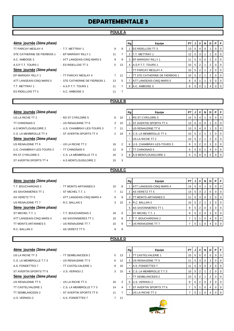#### **POULE A**

| 4ème journée (2ème phase)   |                               |                |                | Rg | Equipe                                | PT             | J              | v               | N              | D                | P           | F           |
|-----------------------------|-------------------------------|----------------|----------------|----|---------------------------------------|----------------|----------------|-----------------|----------------|------------------|-------------|-------------|
| TT PARCAY MESLAY 4          | - T.T. METTRAY 1              | 9              | 9              |    | 1 <b>ES RIDELLOIS TT 3</b>            | 13             | 5              | 4               | 0              | 1                | 0           | $\mathbf 0$ |
| STE CATHERINE DE FIERBOIS 1 | - EP MARIGNY RILLY 1          | 11             | 7              |    | 2 T.T. METTRAY 1                      | 12             | 5              | 3               | $\overline{1}$ | 1                | $\mathbf 0$ | $\mathbf 0$ |
| A.C. AMBOISE 3              | - ATT LANGEAIS-CINQ MARS 5    | 9              | 9              |    | 3 EP MARIGNY RILLY 1                  | 11             | 5              | 3               | $\mathbf 0$    | $\boldsymbol{2}$ | $\mathbf 0$ | $\mathbf 0$ |
| A.S.P.T.T. TOURS 1          | - ES RIDELLOIS TT 3           | 5              | 13             |    | 4 A.S.P.T.T. TOURS 1                  | 10             | $\,$ 5 $\,$    | $\sqrt{2}$      | $\overline{1}$ | $\sqrt{2}$       | $\mathbf 0$ | $\mathbf 0$ |
| Sème journée (2ème phase)   |                               |                |                |    | TT PARCAY MESLAY 4                    | 10             | 5              | $\overline{c}$  | $\mathbf{1}$   | $\overline{c}$   | $\mathbf 0$ | $\mathbf 0$ |
| EP MARIGNY RILLY 1          | - TT PARCAY MESLAY 4          | $\overline{7}$ | 11             |    | <b>TT STE CATHERINE DE FIERBOIS 1</b> | 10             | 5              | $\overline{2}$  | $\mathbf{1}$   | $\overline{2}$   | 0           | $\mathbf 0$ |
| ATT LANGEAIS-CINQ MARS 5    | - STE CATHERINE DE FIERBOIS 1 | 13             | 5              |    | 7 ATT LANGEAIS-CINQ MARS 5            | 8              | 5              | $\mathbf{1}$    | $\mathbf{1}$   | 3                | $\mathbf 0$ | $\mathbf 0$ |
| T.T. METTRAY 1              | - A.S.P.T.T. TOURS 1          | 11             | $\overline{7}$ |    | 8 A.C. AMBOISE 3                      | 6              | 5              | $\mathbf 0$     |                | $\overline{4}$   | $\mathsf 0$ | $\mathbf 0$ |
| ES RIDELLOIS TT 3           | - A.C. AMBOISE 3              | 11             | $\overline{7}$ |    |                                       |                |                |                 |                |                  |             |             |
|                             |                               |                | <b>POULE B</b> |    |                                       |                |                |                 |                |                  |             |             |
| 4ème journée (2ème phase)   |                               |                |                | Rg | Equipe                                | PT             | J              | ٧               | N              | D                | P           | F           |
| US LA RICHE TT 2            | - RS ST CYR/LOIRE 5           | 8              | 10             |    | 1 RS ST CYR/LOIRE 5                   | 14             | 5              | $\overline{4}$  |                | $\mathbf 0$      | $\mathbf 0$ | $\mathbf 0$ |
| <b>TT CHINONAIS 5</b>       | - US RENAUDINE TT 6           | 3              | 15             |    | 2 ST AVERTIN SPORTS TT 4              | 13             | $\sqrt{5}$     | 4               | $\mathbf 0$    | 1                | $\mathbf 0$ | $\mathbf 0$ |
| A.S MONTLOUIS/LOIRE 2       | - U.S. CHAMBRAY-LES-TOURS 3   | 7              | 11             |    | US RENAUDINE TT 6                     | 13             | 5              | $\overline{4}$  | $\mathbf 0$    | $\mathbf{1}$     | $\mathsf 0$ | $\mathbf 0$ |
| C.S. LA MEMBROLLE TT 4      | - ST AVERTIN SPORTS TT 4      | 2              | 16             |    | 4 C.S. LA MEMBROLLE TT 4              | 10             | 5              | $\overline{2}$  | $\mathbf{1}$   | $\overline{2}$   | $\mathbf 0$ | $\mathbf 0$ |
| Sème journée (2ème phase)   |                               |                |                |    | US LA RICHE TT 2                      | 10             | 5              | $\mathbf 2$     | 1              | $\overline{2}$   | 0           | $\mathbf 0$ |
| US RENAUDINE TT 6           | - US LA RICHE TT 2            | 16             | 2              |    | 6 U.S. CHAMBRAY-LES-TOURS 3           | 9              | $\sqrt{5}$     | $\mathbf 2$     | $\mathbf 0$    | 3                | $\mathbf 0$ | $\mathbf 0$ |
| U.S. CHAMBRAY-LES-TOURS 3   | - TT CHINONAIS 5              | 12             | 6              |    | 7 <b>TT CHINONAIS 5</b>               | 6              | 5              | $\mathbf 0$     | $\mathbf{1}$   | $\overline{4}$   | $\mathbf 0$ | $\mathbf 0$ |
| RS ST CYR/LOIRE 5           | - C.S. LA MEMBROLLE TT 4      | 16             | 2              |    | 8 A.S MONTLOUIS/LOIRE 2               | 5              | 5              | $\mathbf 0$     | $\mathbf 0$    | 5                | $\mathbf 0$ | $\mathbf 0$ |
| ST AVERTIN SPORTS TT 4      | - A.S MONTLOUIS/LOIRE 2       | 15             | 3              |    |                                       |                |                |                 |                |                  |             |             |
|                             |                               |                |                |    |                                       |                |                |                 |                |                  |             |             |
|                             |                               |                | <b>POULE C</b> |    |                                       |                |                |                 |                |                  |             |             |
| 4ème journée (2ème phase)   |                               |                |                | Rg | Equipe                                | PT             | J              | v               | N              | D                | P           | F           |
| T.T. BOUCHARDAIS 2          | - TT MONTS ARTANNES 5         | 10             | 8              |    | 1 ATT LANGEAIS-CINQ MARS 4            | 14             | 5              | $\overline{4}$  | 1              | $\mathbf 0$      | $\mathbf 0$ | $\mathbf 0$ |
| AS SAVONNIERES TT 1         | - ST MICHEL T.T. 1            | 7              | 11             |    | 2 AS VERETZ TT 5                      | 13             | $\sqrt{5}$     | $\sqrt{3}$      | $\overline{2}$ | $\mathbf 0$      | $\mathsf 0$ | $\mathbf 0$ |
| AS VERETZ TT 5              | - ATT LANGEAIS-CINQ MARS 4    | 9              | 9              |    | 3 <b>ITT MONTS ARTANNES 5</b>         | 11             | $\sqrt{5}$     | $\sqrt{3}$      | $\mathbf 0$    | $\overline{2}$   | $\mathbf 0$ | $\mathbf 0$ |
| US RENAUDINE TT 7           | - R.C. BALLAN 3               | 3              | 15             |    | 4 R.C. BALLAN 3                       | 10             | 5              | $\overline{2}$  | 1              | $\overline{2}$   | $\mathbf 0$ | $\mathbf 0$ |
| 5ème journée (2ème phase)   |                               |                |                | 5  | AS SAVONNIERES TT 1                   | 9              | 5              | $\overline{2}$  | $\mathbf 0$    | 3                | 0           | $\mathbf 0$ |
| ST MICHEL T.T. 1            | - T.T. BOUCHARDAIS 2          | 18             | 0              |    | ST MICHEL T.T. 1                      | 9              | 5              | $\overline{2}$  | $\pmb{0}$      | 3                | $\pmb{0}$   | $\pmb{0}$   |
| ATT LANGEAIS-CINQ MARS 4    | - AS SAVONNIERES TT 1         | 10             | 8              | 7  | T.T. BOUCHARDAIS 2                    | 7 <sub>1</sub> |                | $5 \mid 1 \mid$ | $\overline{0}$ | $\overline{4}$   | $0 \quad 0$ |             |
| TT MONTS ARTANNES 5         | - US RENAUDINE TT 7           | 10             | 8              |    | US RENAUDINE TT 7                     | $\overline{7}$ | $\overline{5}$ |                 |                |                  | $\mathbf 0$ |             |
| R.C. BALLAN 3               | - AS VERETZ TT 5              | 9              | 9              |    |                                       |                |                |                 |                |                  |             |             |
|                             |                               |                | <b>POULE D</b> |    |                                       |                |                |                 |                |                  |             |             |
|                             |                               |                |                |    |                                       |                |                |                 |                |                  |             |             |
| 4ème journée (2ème phase)   |                               |                |                | Rg | Equipe                                | PT             | J              | ٧               | N              | D                | P           | F           |
| US LA RICHE TT 3            | - TT SEMBLANCEEN 2            | 5              | 13             | 1  | <b>TT CASTELVALERIE 1</b>             | 15             | 5              | 5               | 0              | $\mathbf 0$      | 0           | $\mathbf 0$ |
| C.S. LA MEMBROLLE T.T 3     | - US RENAUDINE TT 5           | 6              | 12             |    | 2 US RENAUDINE TT 5                   | 11             | 5              | 3               | $\mathbf 0$    | $\overline{2}$   | $\mathbf 0$ | $\mathbf 0$ |
| A.S. FONDETTES 7            | - TT CASTELVALERIE 1          | 8              | 10             |    | A.S. FONDETTES 7                      | 11             | 5              | 3               | 0              | 2                | 0           | 0           |
| ST AVERTIN SPORTS TT 6      | - U.S. VERNOU 2               | 3              | 15             |    | 4 C.S. LA MEMBROLLE T.T 3             | 10             | 5              | $\overline{2}$  | 1              | $\overline{2}$   | 0           | 0           |
| 5ème journée (2ème phase)   |                               |                |                |    | TT SEMBLANCEEN 2                      | 10             | 5              | $\overline{2}$  | $\overline{1}$ | $\boldsymbol{2}$ | $\mathbf 0$ | $\mathbf 0$ |
| US RENAUDINE TT 5           | - US LA RICHE TT 3            | 16             | 2              |    | 6 U.S. VERNOU 2                       | 9              | 5              | $\overline{2}$  | 0              | 3                | $\pmb{0}$   | $\mathbf 0$ |
| TT CASTELVALERIE 1          | - C.S. LA MEMBROLLE T.T 3     | 14             | 4              |    | 7 ST AVERTIN SPORTS TT 6              | 7              | 5              | $\mathbf{1}$    | 0              | 4                | 0           | 0           |
| TT SEMBLANCEEN 2            | - ST AVERTIN SPORTS TT 6      | 11             | 7              |    | US LA RICHE TT 3                      | $\overline{7}$ | 5              | $\mathbf{1}$    | 0              | 4                | 0           | $\mathbf 0$ |
| U.S. VERNOU 2               | - A.S. FONDETTES 7            | $\overline{7}$ | 11             |    |                                       |                |                |                 |                |                  |             |             |

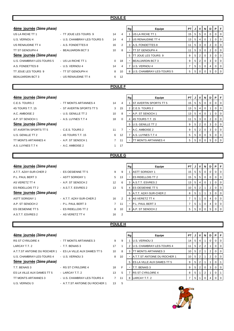#### **POULE E**

| 4ème journée (2ème phase) |                             |    |                | Rg | Equipe                      | <b>PT</b>      | J | $\mathsf{v}$   | N              | D I            | P F            |                |
|---------------------------|-----------------------------|----|----------------|----|-----------------------------|----------------|---|----------------|----------------|----------------|----------------|----------------|
| US LA RICHE TT 1          | - TT JOUE LES TOURS 9       | 14 | $\overline{4}$ |    | 1 US LA RICHE TT 1          | 15             | 5 | 5              | 0              | 0              | 0              | $\mathbf 0$    |
| U.S. VERNOU 4             | - U.S. CHAMBRAY-LES-TOURS 5 | 14 | 4              | 2  | US RENAUDINE TT 4           | 13             | 5 | 4              | $\mathbf 0$    |                | $\Omega$       | $\Omega$       |
| US RENAUDINE TT 4         | - A.S. FONDETTES 8          | 16 | 2              |    | 3 A.S. FONDETTES 8          | 11             | 5 | 3              | 0              | 2              | $\Omega$       | $\mathbf 0$    |
| TT ST GENOUPH 4           | - BEAUJARDIN BCT 3          | 10 | 8              |    | <b>TT ST GENOUPH 4</b>      | 11             | 5 | 3              | $\mathbf 0$    | $\overline{2}$ | $\mathbf 0$    | $\mathbf 0$    |
| 5ème journée (2ème phase) |                             |    |                |    | 5 TT JOUE LES TOURS 9       | 9              | 5 | $\overline{2}$ | $\mathbf 0$    | 3              | 0              | $\mathbf 0$    |
| U.S. CHAMBRAY-LES-TOURS 5 | - US LA RICHE TT 1          | 0  | 18             |    | <b>BEAUJARDIN BCT 3</b>     | 9              | 5 | $\overline{2}$ | 0              | 3              | $\mathbf 0$    | $\Omega$       |
| A.S. FONDETTES 8          | - U.S. VERNOU 4             | 14 | 4              |    | 7 U.S. VERNOU 4             | $\overline{7}$ | 5 |                | $\mathbf 0$    |                | $\mathbf 0$    | $\Omega$       |
| TT JOUE LES TOURS 9       | - TT ST GENOUPH 4           | 8  | 10             |    | 8 U.S. CHAMBRAY-LES-TOURS 5 | 5              | 5 | $\mathbf 0$    | $\overline{0}$ | 5              | $\overline{0}$ | $\overline{0}$ |
| <b>BEAUJARDIN BCT 3</b>   | - US RENAUDINE TT 4         | 6  | 12             |    |                             |                |   |                |                |                |                |                |
|                           |                             |    |                |    |                             |                |   |                |                |                |                |                |
|                           |                             |    | <b>POULE F</b> |    |                             |                |   |                |                |                |                |                |
|                           |                             |    |                |    |                             |                |   |                |                |                |                |                |
|                           |                             |    |                |    |                             |                |   |                |                |                |                |                |
| 4ème journée (2ème phase) |                             |    |                | Rg | Equipe                      | <b>PT</b>      | J | $\mathsf{v}$   | N              | D              | P F            |                |
| C.E.S. TOURS 2            | - TT MONTS ARTANNES 4       | 14 | 4              |    | 1 ST AVERTIN SPORTS TT 5    | 15             | 5 | 5 <sup>5</sup> | $\mathbf 0$    | 0              | $\mathbf 0$    | $\mathbf 0$    |
| 4S TOURS T.T. 15          | - ST AVERTIN SPORTS TT 5    | 3  | 15             |    | 2 C.E.S. TOURS 2            | 13             | 5 | $\overline{4}$ | $\overline{0}$ |                | $\mathbf 0$    | $\Omega$       |
| A.C. AMBOISE 2            | - U.S. GENILLE TT 2         | 10 | 8              |    | A.P. ST SENOCH 1            | 13             | 5 | 4              | $\mathbf 0$    |                | $\mathbf 0$    | $\Omega$       |
| A.P. ST SENOCH 1          | - A.S. LUYNES T.T 4         | 18 | $\Omega$       |    | 4 4S TOURS T.T. 15          | 11             | 5 | 3              | $\overline{0}$ | 2              | $\mathbf 0$    | $\overline{0}$ |
| 5ème journée (2ème phase) |                             |    |                |    | 5 U.S. GENILLE TT 2         | 9              | 5 | $\overline{2}$ | $\mathbf 0$    | 3              | $\mathbf 0$    | $\mathbf 0$    |
| ST AVERTIN SPORTS TT 5    | - C.E.S. TOURS 2            | 11 | $\overline{7}$ |    | A.C. AMBOISE 2              | 9              | 5 | $\overline{2}$ | $\overline{0}$ | 3              | $\mathbf 0$    | $\overline{0}$ |
| U.S. GENILLE TT 2         | - 4S TOURS T.T. 15          | 6  | 12             |    | 7 A.S. LUYNES T.T 4         | 5              | 5 | 0              | $\mathbf 0$    | 5              | $\mathbf 0$    | $\Omega$       |
| TT MONTS ARTANNES 4       | - A.P. ST SENOCH 1          | 7  | 11             |    | <b>ITT MONTS ARTANNES 4</b> | 5              | 5 | $\mathbf 0$    | $\Omega$       | 5              | 0              | $\overline{0}$ |

#### **POULE G**

| 4ème journée (2ème phase) |                          |                |                | Rg | Equipe                     | PT I            | J |                |                | VND | PIF            |  |
|---------------------------|--------------------------|----------------|----------------|----|----------------------------|-----------------|---|----------------|----------------|-----|----------------|--|
| A.T.T. AZAY-SUR-CHER 2    | - ES OESIENNE TT 5       | 9              | 9              |    | <b>ASTT SORIGNY 1</b>      | 15 <sup>1</sup> | 5 | 5 <sup>1</sup> | $\overline{0}$ |     | 0 <sup>1</sup> |  |
| P.L. PAUL BERT 3          | - ASTT SORIGNY 1         | 5              | 13             |    | <b>ES RIDELLOIS TT 2</b>   | 15              | 5 | 5 <sup>1</sup> | 0              |     | 0 <sub>0</sub> |  |
| AS VERETZ TT 4            | - A.P. ST SENOCH 2       | 12             | 6              |    | 3 A.S.T.T. ESVRES 2        | 13 <sup>1</sup> | 5 | $\overline{4}$ | 0              |     | 0 <sup>1</sup> |  |
| ES RIDELLOIS TT 2         | - A.S.T.T. ESVRES 2      | 13             | 5              |    | 4 <b>IES OESIENNE TT 5</b> | 10 <sup>1</sup> | 5 | 2              |                | 2   | 0 <sup>1</sup> |  |
| 5ème journée (2ème phase) |                          |                |                |    | 5 A.T.T. AZAY-SUR-CHER 2   | 8               | 5 |                |                | 3   | 0 <sup>1</sup> |  |
| <b>ASTT SORIGNY 1</b>     | - A.T.T. AZAY-SUR-CHER 2 | 16             | 2              |    | 6 AS VERETZ TT 4           |                 | 5 |                |                | 4   | 0 <sup>1</sup> |  |
| A.P. ST SENOCH 2          | - P.L. PAUL BERT 3       | $\overline{7}$ | 11             | -  | P.L. PAUL BERT 3           | 7               | 5 |                | $\Omega$       | 4   | 0 <sup>1</sup> |  |
| ES OESIENNE TT 5          | - ES RIDELLOIS TT 2      | 8              | 10             |    | 8 A.P. ST SENOCH 2         | 5               | 5 | $\Omega$       | $\Omega$       | 5   |                |  |
| A.S.T.T. ESVRES 2         | - AS VERETZ TT 4         | 16             | $\overline{2}$ |    |                            |                 |   |                |                |     |                |  |
|                           |                          |                |                |    |                            |                 |   |                |                |     |                |  |

#### **POULE H**

| 4eme journee (2eme phase)        |                                |    |    |
|----------------------------------|--------------------------------|----|----|
| <b>RS ST CYR/LOIRE 4</b>         | - TT MONTS ARTANNES 3          | 9  | 9  |
| LARCAY T.T. 2                    | - T.T. BENAIS 3                | 17 | 1  |
| A.T.T.ST ANTOINE DU ROCHER 1     | - ES LA VILLE AUX DAMES TT 5   | 10 | 8  |
| U.S. CHAMBRAY-LES-TOURS 4        | - U.S. VERNOU 3                | 8  | 10 |
| <u>5ème journée</u> (2ème phase) |                                |    |    |
| T.T. BENAIS 3                    | - RS ST CYR/LOIRE 4            | 18 | F  |
| ES LA VILLE AUX DAMES TT 5       | - LARCAY T.T. 2                | 13 | 5  |
| TT MONTS ARTANNES 3              | - U.S. CHAMBRAY-LES-TOURS 4    |    | 11 |
| U.S. VERNOU 3                    | - A.T.T.ST ANTOINE DU ROCHER 1 | 13 | 5  |
|                                  |                                |    |    |

| 4ème journée (2ème phase)                                    |                             |                |    | Rg | Equipe                            | PT I |                | JIVI            | N        | D | PIF            |  |
|--------------------------------------------------------------|-----------------------------|----------------|----|----|-----------------------------------|------|----------------|-----------------|----------|---|----------------|--|
| RS ST CYR/LOIRE 4                                            | - TT MONTS ARTANNES 3       | 9              | 9  |    | U.S. VERNOU 3                     | 14   | 5              | 4               |          |   | 0 <sup>1</sup> |  |
| LARCAY T.T. 2                                                | - T.T. BENAIS 3             | 17             |    |    | U.S. CHAMBRAY-LES-TOURS 4         |      |                | $5 \mid 2$      | 2        |   | 0 <sup>1</sup> |  |
| A.T.T.ST ANTOINE DU ROCHER 1    - ES LA VILLE AUX DAMES TT 5 |                             | 10             | 8  | 3  | <b>ITT MONTS ARTANNES 3</b>       | 10   |                | $5 \mid 2$      |          | 2 | 0 <sup>1</sup> |  |
| U.S. CHAMBRAY-LES-TOURS 4                                    | - U.S. VERNOU 3             | 8              | 10 |    | A.T.T.ST ANTOINE DU ROCHER 1      | 10   |                | $5 \mid 2 \mid$ |          | 2 | $01$ 0         |  |
| Sème journée (2ème phase)                                    |                             |                |    | 5  | <b>ES LA VILLE AUX DAMES TT 5</b> | 9    |                | $5 \mid 2$      |          |   | $\Omega$       |  |
| T.T. BENAIS 3                                                | - RS ST CYR/LOIRE 4         | 18             |    | ۰  | T.T. BENAIS 3                     | 9    |                | 5 2             | $\Omega$ | 3 | 0 <sub>0</sub> |  |
| ES LA VILLE AUX DAMES TT 5                                   | - LARCAY T.T. 2             | 13             | 5  |    | <b>RS ST CYR/LOIRE 4</b>          | 8    | 5 <sup>1</sup> |                 | 2        |   | $\Omega$       |  |
| TT MONTS ARTANNES 3                                          | - U.S. CHAMBRAY-LES-TOURS 4 | $\overline{7}$ | 11 |    | 8 LARCAY T.T. 2                   |      | 5              |                 |          |   | 0 <sub>0</sub> |  |
|                                                              |                             |                |    |    |                                   |      |                |                 |          |   |                |  |

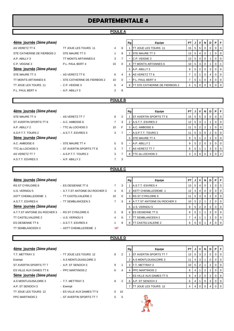#### **POULE A**

| 4ème journée (2ème phase)   |                               |    |          |
|-----------------------------|-------------------------------|----|----------|
| AS VERETZ TT 6              | TT JOUE LES TOURS 11          | 4  | 6        |
| STE CATHERINE DE FIERBOIS 2 | STE MAURE TT 3                | 1  | 9        |
| A.P. ABILLY 3               | TT MONTS ARTANNES 6           | 3  | 7        |
| C.P. VEIGNE 3               | P.L. PAUL BERT 4              | 10 | $\Omega$ |
| 5ème journée (2ème phase)   |                               |    |          |
| STE MAURE TT 3              | - AS VERETZ TT 6              | 6  | 4        |
| TT MONTS ARTANNES 6         | - STE CATHERINE DE FIERBOIS 2 | 10 | $\Omega$ |
| TT JOUE LES TOURS 11        | $-C.P.$ VEIGNE 3              | 6  | 4        |
| P.L. PAUL BERT 4            | $-$ A.P. ABILLY 3             | 2  | 8        |

| 4ème j <u>ournée</u> (2è <i>me phase)</i> |                               |    |          | Rg | Equipe                                 | PT I            |                | JIVIN | D        | PF             |                |
|-------------------------------------------|-------------------------------|----|----------|----|----------------------------------------|-----------------|----------------|-------|----------|----------------|----------------|
| AS VERETZ TT 6                            | TT JOUE LES TOURS 11          | 4  | 6        |    | TT JOUE LES TOURS 11                   | 15 <sup>1</sup> |                | 5 5 1 | $\Omega$ | $01$ 0         |                |
| STE CATHERINE DE FIERBOIS 2               | STE MAURE TT 3                |    | 9        |    | <b>STE MAURE TT 3</b>                  | 13 I            |                | 5 4 1 |          | $01$ 0         |                |
| A.P. ABILLY 3                             | TT MONTS ARTANNES 6           | 3  |          |    | C.P. VEIGNE 3                          | 13 <sup>1</sup> |                | 5 4 1 |          | $\overline{0}$ | $\overline{0}$ |
| C.P. VEIGNE 3                             | P.L. PAUL BERT 4              | 10 | $\Omega$ |    | <b>TT MONTS ARTANNES 6</b>             | 10 <sup>1</sup> |                | 5 3 1 |          | 0              |                |
| 5ème_journée (2ème phase)                 |                               |    |          |    | 5 A.P. ABILLY 3                        |                 |                | 5 2 1 | 3        | $01$ 0         |                |
| STE MAURE TT 3                            | - AS VERETZ TT 6              | 6  | 4        |    | 6 AS VERETZ TT 6                       |                 | 5 <sub>1</sub> |       | 4        | $01$ 0         |                |
| TT MONTS ARTANNES 6                       | - STE CATHERINE DE FIERBOIS 2 | 10 | $\Omega$ |    | P.L. PAUL BERT 4                       |                 | 5 <sup>1</sup> |       | 4        | $01$ 0         |                |
| TT JOUE LES TOURS 11                      | - C.P. VEIGNE 3               | 6  |          | 8  | <b>ITT STE CATHERINE DE FIERBOIS 2</b> | 5               | 5 <sup>1</sup> |       | 5        | $01$ 0         |                |
|                                           |                               |    |          |    |                                        |                 |                |       |          |                |                |

#### **POULE B**

| 4ème journée (2ème phase) |                          |    |   | Rg | Equipe                        | PT I            |                |                | JIVINID        |   | P               | F                |
|---------------------------|--------------------------|----|---|----|-------------------------------|-----------------|----------------|----------------|----------------|---|-----------------|------------------|
| STE MAURE TT 4            | - AS VERETZ TT 7         | 8  | 2 |    | <b>ST AVERTIN SPORTS TT 8</b> | 15 <sup>1</sup> | 5 <sub>5</sub> | 5 <sub>1</sub> | 0              |   | 010             |                  |
| ST AVERTIN SPORTS TT 8    | $-$ A.C. AMBOISE 6       |    | 3 |    | A.S.T.T. ESVRES 3             | 12 <sup>2</sup> | 5 <sub>5</sub> | 3              |                |   | 0 <sub>1</sub>  |                  |
| A.P. ABILLY 2             | - TTC du LOCHOIS 3       | 10 | F |    | A.C. AMBOISE 6                | 11              | 5 <sup>5</sup> | 2 <sup>1</sup> | 2              |   | 0 <sub>10</sub> |                  |
| A.S.P.T.T. TOURS 2        | - A S.T.T. ESVRES 3      | 3  |   |    | A.S.P.T.T. TOURS 2            | 11              | 5              | 3 <sup>1</sup> | $\overline{0}$ |   |                 |                  |
| 5ème journée (2ème phase) |                          |    |   | 5  | <b>STE MAURE TT 4</b>         | 9               | 5              |                |                |   | 0 <sub>1</sub>  |                  |
| A.C. AMBOISE 6            | - STE MAURE TT 4         | 5  | 5 |    | A.P. ABILLY 2                 | 9               | 5 <sup>1</sup> | 2 <sup>1</sup> | 0              | 3 | 0 <sub>1</sub>  |                  |
| TTC du LOCHOIS 3          | - ST AVERTIN SPORTS TT 8 | 3  | 7 |    | AS VERETZ TT 7                | 8               | 5              |                |                |   |                 | $\overline{1}$ 0 |
| AS VERETZ TT 7            | - A.S.P.T.T. TOURS 2     | 3  |   | 8  | <b>TTC du LOCHOIS 3</b>       | 3               | 5              |                |                |   |                 |                  |
| A.S.T.T. ESVRES 3         | $-$ A.P. ABILLY 2        |    | 3 |    |                               |                 |                |                |                |   |                 |                  |
|                           |                          |    |   |    |                               |                 |                |                |                |   |                 |                  |

|   | Rg | Equipe                        | <b>PT</b> |   | ν              | N        | D              | P | F              |
|---|----|-------------------------------|-----------|---|----------------|----------|----------------|---|----------------|
| 2 |    | <b>ST AVERTIN SPORTS TT 8</b> | 15        | 5 | 5              | $\Omega$ | $\Omega$       | 0 | 0              |
| 3 | 2  | A.S.T.T. ESVRES 3             | 12        | 5 | 3              |          |                | 0 | 0              |
| F | 3  | A.C. AMBOISE 6                | 11        | 5 | 2              | 2        |                | 0 | $\Omega$       |
| 7 |    | A.S.P.T.T. TOURS 2            | 11        | 5 | 3              | 0        | 2              | 0 | 0              |
|   | 5  | STE MAURE TT 4                | 9         | 5 | 1              | 2        | $\overline{2}$ | 0 | 0              |
| 5 |    | A.P. ABILLY 2                 | 9         | 5 | $\overline{2}$ | 0        | 3              | 0 | 0              |
| 7 |    | AS VERETZ TT 7                | 8         | 5 |                |          | 3              | 0 | 0              |
| 7 | 8  | TTC du LOCHOIS 3              | 3         | 5 | ი              | O        | 3              | O | $\overline{2}$ |
| - |    |                               |           |   |                |          |                |   |                |

#### **POULE C**

| 4ème journée (2ème phase)    |                                |                |          | Rg | Equipe                       |                 |                |                | <b>PT J V N D</b> |   | PIF             |  |
|------------------------------|--------------------------------|----------------|----------|----|------------------------------|-----------------|----------------|----------------|-------------------|---|-----------------|--|
| RS ST CYR/LOIRE 6            | - ES OESIENNE TT 6             |                | 3        |    | A.S.T.T. ESVRES 4            | 13              | 5 <sub>5</sub> | 4 <sup>1</sup> |                   |   | 0 <sub>1</sub>  |  |
| U.S. VERNOU 5                | - A.T.T.ST ANTOINE DU ROCHER 3 | 4              | 6        |    | <b>ASTT CHEMILLE/DEME 1</b>  | 12              | $\overline{4}$ | 4 <sup>1</sup> |                   |   | 0 <sub>10</sub> |  |
| <b>ASTT CHEMILLE/DEME 1</b>  | - TT CASTELVALERIE 2           | 10             | $\Omega$ |    | <b>RS ST CYR/LOIRE 6</b>     |                 | 5              | 3 I            |                   |   | 0 <sub>1</sub>  |  |
| A.S.T.T. ESVRES 4            | - TT SEMBLANCEEN 3             |                | 3        |    | A.T.T.ST ANTOINE DU ROCHER 3 | 10 <sup>1</sup> | 5 <sup>5</sup> | $\overline{2}$ |                   |   | $01$ 0          |  |
| 5ème journée (2ème phase)    |                                |                |          | 5  | U.S. VERNOU 5                | 9               | 5              | 2 <sup>1</sup> | 0                 |   | 0 <sub>1</sub>  |  |
| A.T.T.ST ANTOINE DU ROCHER 3 | - RS ST CYR/LOIRE 6            | $\mathcal{P}$  | 8        | 6  | <b>ES OESIENNE TT 6</b>      | 8               | 5              |                |                   | 3 | 0 <sub>1</sub>  |  |
| TT CASTELVALERIE 2           | - U.S. VERNOU 5                | 4              | 6        |    | <b>SEMBLANCEEN 3</b>         |                 | 4              |                |                   |   | 0 <sub>1</sub>  |  |
| ES OESIENNE TT 6             | - A.S.T.T. ESVRES 4            |                | 9        | 8  | TT CASTELVALERIE 2           | 6               | 5              |                |                   |   | 0 I O           |  |
| TT SEMBLANCEEN 3             | - ASTT CHEMILLE/DEME 1         | N <sub>P</sub> |          |    |                              |                 |                |                |                   |   |                 |  |

#### **POULE D**

| 4ème journée (2ème phase) |                           |          |    |
|---------------------------|---------------------------|----------|----|
| T.T. METTRAY 3            | - TT JOUE LES TOURS 12    | 8        | 2  |
| Exempt                    | - A.S MONTLOUIS/LOIRE 3   |          |    |
| ST AVERTIN SPORTS TT 7    | - A.P. ST SENOCH 3        | 9        | 1  |
| ES VILLE AUX DAMES TT 6   | - PPC MARTINOIS 2         | 6        | 4  |
| 5ème journée (2ème phase) |                           |          |    |
| A.S. MONTLOUIS/LOIRE 3    | - T.T. METTRAY 3          | 8        | 2  |
| A.P. ST SENOCH 3          | - Exempt                  |          |    |
| TT JOUE LES TOURS 12      | - ES VILLE AUX DAMES TT 6 | $\Omega$ | 10 |
| <b>PPC MARTINOIS 2</b>    | - ST AVERTIN SPORTS TT 7  | 5        | 5  |
|                           |                           |          |    |

| <u>4ème journée</u> (2ème phase) |                         |   |   | Rg | Equipe                         | PTIJIVIN |                    |              |          | D        | PIF     |                |
|----------------------------------|-------------------------|---|---|----|--------------------------------|----------|--------------------|--------------|----------|----------|---------|----------------|
| T.T. METTRAY 3                   | - TT JOUE LES TOURS 12  | 8 | 2 |    | <b>IST AVERTIN SPORTS TT 7</b> |          | $13$   5   3       |              |          | 0        |         | 0 <sup>1</sup> |
| Exempt                           | - A.S MONTLOUIS/LOIRE 3 |   |   |    | <b>A.S MONTLOUIS/LOIRE 3</b>   |          | 1 4 3              |              |          | $\Omega$ | $0$   0 |                |
| ST AVERTIN SPORTS TT 7           | - A.P. ST SENOCH 3      | 9 |   |    | <b>IT.T. METTRAY 3</b>         |          | $10 \mid 5 \mid 2$ |              |          | 2        |         | 0 <sup>1</sup> |
| ES VILLE AUX DAMES TT 6          | - PPC MARTINOIS 2       | 6 | 4 | 4  | <b>PPC MARTINOIS 2</b>         |          |                    |              |          |          |         | $\overline{0}$ |
| 5ème journée (2ème phase)        |                         |   |   |    | - IES VILLE AUX DAMES TT 6     | 8        | $\overline{4}$     | <sup>2</sup> |          |          |         | 0 <sub>0</sub> |
| A.S MONTLOUIS/LOIRE 3            | - T.T. METTRAY 3        | 8 | 2 |    | A.P. ST SENOCH 3               | 6        | 4 <sup>1</sup>     |              | $\Omega$ | 3        | $0$   0 |                |
| A.P. ST SENOCH 3                 | - Exempt                |   |   |    | TT JOUE LES TOURS 12           |          | 4 0 0              |              |          |          |         | $01$ 0         |

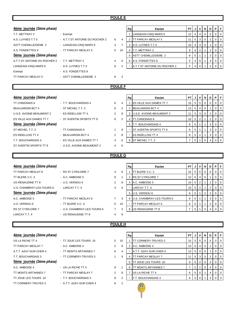| 4ème journée (2ème phase)                     |                                |                |                | Rg             | Equipe                         | PT I            | J              | $\mathsf{v}$   | N            | D              |                | $P$ $F$        |
|-----------------------------------------------|--------------------------------|----------------|----------------|----------------|--------------------------------|-----------------|----------------|----------------|--------------|----------------|----------------|----------------|
| T.T. METTRAY 2                                | - Exempt                       |                |                |                | LANGEAIS-CINQ MARS 6           | 12 <sup>1</sup> | $\overline{4}$ | $\overline{4}$ | 0            | 0              | 0              | $\mathbf 0$    |
| A.S. LUYNES T.T 5                             | - A.T.T.ST ANTOINE DU ROCHER 2 | 6              | $\overline{4}$ | 2              | <b>TT PARCAY MESLAY 5</b>      | 11              | 5              | 3              | 0            | 2              | $\mathbf 0$    | $\overline{0}$ |
| ASTT CHEMILLE/DEME 2                          | - LANGEAIS-CINQ MARS 6         | 3              | $\overline{7}$ | 3              | A.S. LUYNES T.T 5              | 10              | 4              | 3              | $\Omega$     | 1              | $\mathbf 0$    | $\mathbf 0$    |
| A.S. FONDETTES 9                              | - TT PARCAY MESLAY 5           | $\Omega$       | 10             | $\overline{4}$ | T.T. METTRAY 2                 | 9               | $\overline{4}$ | $\overline{2}$ | 1            | 1              | $\overline{0}$ | $\overline{0}$ |
| Sème journée (2ème phase)                     |                                |                |                | 5              | <b>ASTT CHEMILLE/DEME 2</b>    | 8               | 5              | $\overline{1}$ | $\mathbf{1}$ | 3              | $\overline{0}$ | $\overline{0}$ |
| A.T.T.ST ANTOINE DU ROCHER 2 - T.T. METTRAY 2 |                                | $\overline{4}$ | 6              |                | 6 A.S. FONDETTES 9             | 5               | $\overline{4}$ | $\mathbf 0$    |              | 3              | $\overline{0}$ | $\mathbf 0$    |
| LANGEAIS-CINQ MARS 6                          | - A.S. LUYNES T.T 5            | 8              | $\overline{2}$ |                | A.T.T.ST ANTOINE DU ROCHER 2   | 5               | $\overline{4}$ | $\mathbf 0$    |              | 3              | $\overline{0}$ | $\overline{0}$ |
| Exempt                                        | - A.S. FONDETTES 9             |                |                |                |                                |                 |                |                |              |                |                |                |
| TT PARCAY MESLAY 5                            | - ASTT CHEMILLE/DEME 2         | 8              | $\overline{2}$ |                |                                |                 |                |                |              |                |                |                |
|                                               |                                | <b>POULE F</b> |                |                |                                |                 |                |                |              |                |                |                |
|                                               |                                |                |                |                |                                |                 |                |                |              |                |                |                |
| 4ème journée (2ème phase)                     |                                |                |                | Rg             | Equipe                         | PT I            | J              | $\mathbf v$    | N            | D              | P              | F.             |
| <b>TT CHINONAIS 6</b>                         | - T.T. BOUCHARDAIS 4           | 6              | 4              |                | <b>ES VILLE AUX DAMES TT 7</b> | 15 <sup>1</sup> | 5              | 5              | $\Omega$     | $\Omega$       | $\mathbf 0$    | $\mathbf 0$    |
| <b>BEAUJARDIN BCT 4</b>                       | - ST MICHEL T.T. 2             | 8              | 2              | 2              | <b>BEAUJARDIN BCT 4</b>        | 13              | 5              | $\overline{4}$ | $\mathbf 0$  | 1              | 0              | $\overline{0}$ |
| U.S.E. AVOINE-BEAUMONT 2                      | - ES RIDELLOIS TT 4            | $\overline{2}$ | 8              |                | 3 U.S.E. AVOINE-BEAUMONT 2     | 11 <sup>1</sup> | 5              | 3              | $\Omega$     | 2              | $\mathbf{0}$   | $\overline{0}$ |
| ES VILLE AUX DAMES TT 7                       | - ST AVERTIN SPORTS TT 9       | 8              | $\overline{2}$ | $\overline{4}$ | <b>TT CHINONAIS 6</b>          | 10 <sup>1</sup> | 5              | $\overline{2}$ |              | $\overline{2}$ | 0              | $\mathbf 0$    |
| 5ème journée (2ème phase)                     |                                |                |                | 5              | <b>T.T. BOUCHARDAIS 4</b>      | 8               | 5              | $\overline{1}$ |              | 3              | $\mathbf{0}$   | $\overline{0}$ |
| ST MICHEL T.T. 2                              | - TT CHINONAIS 6               | $\mathbf{1}$   | 9              |                | ST AVERTIN SPORTS TT 9         | 8               | 5              | $\overline{1}$ | $\mathbf{1}$ | 3              | $\overline{0}$ | $\overline{0}$ |
| <b>ES RIDELLOIS TT 4</b>                      | - BEAUJARDIN BCT 4             | 2              | 8              |                | ES RIDELLOIS TT 4              | 8               | 5              | $\overline{1}$ | 1            | 3              | $\overline{0}$ | $\overline{0}$ |
| T.T. BOUCHARDAIS 4                            | - ES VILLE AUX DAMES TT 7      | 4              | 6              |                | 8 ST MICHEL T.T. 2             | $\overline{7}$  | 5              |                | $\Omega$     | 4              | $\mathbf{0}$   | $\overline{0}$ |
| ST AVERTIN SPORTS TT 9                        | - U.S.E. AVOINE-BEAUMONT 2     | 4              | 6              |                |                                |                 |                |                |              |                |                |                |
|                                               |                                | <b>POULE G</b> |                |                |                                |                 |                |                |              |                |                |                |
|                                               |                                |                |                |                |                                |                 |                |                |              |                |                |                |
| 4ème journée (2ème phase)                     |                                |                |                | Rg             | Equipe                         | PT              | J              | V              | N            | D              | $P$ $F$        |                |

| TT PARCAY MESLAY 6        | - RS ST CYR/LOIRE 7         | $\overline{4}$ | 6  |   | TT BLERE V.C. 3           | 15 <sup>1</sup> |    |     | $5 \mid 5 \mid 0$ | 0 <sup>1</sup> |                  |
|---------------------------|-----------------------------|----------------|----|---|---------------------------|-----------------|----|-----|-------------------|----------------|------------------|
| TT BLERE V.C. 3           | - A.C. AMBOISE 5            | 9              |    |   | <b>IRS ST CYR/LOIRE 7</b> | 13              | 5  | 4 I |                   |                | ΙO               |
| US RENAUDINE TT 8         | - U.S. VERNOU 6             | 2              | 8  |   | A.C. AMBOISE 5            | 10              | 5  |     |                   |                | ΙO               |
| U.S. CHAMBRAY-LES-TOURS 6 | - LARCAY T.T. 4             | $\overline{4}$ | 6  |   | LARCAY T.T. 4             | 10              | 51 |     |                   |                | ΙO               |
| Sème journée (2ème phase) |                             |                |    | 5 | U.S. VERNOU 6             |                 | -5 |     |                   |                | ΙO               |
| A.C. AMBOISE 5            | - TT PARCAY MESLAY 6        |                | 3  |   | U.S. CHAMBRAY-LES-TOURS 6 | 8               | 5  |     |                   |                | ΙO               |
| U.S. VERNOU 6             | - TT BLERE V.C. 3           | $\Omega$       | 10 |   | TT PARCAY MESLAY 6        | 8               | 5  |     |                   |                | $\overline{1}$ 0 |
| RS ST CYR/LOIRE 7         | - U.S. CHAMBRAY-LES-TOURS 6 |                | 3  | 8 | US RENAUDINE TT 8         |                 | 5  |     |                   |                |                  |
| LARCAY T.T. 4             | - US RENAUDINE TT 8         | 4              | -6 |   |                           |                 |    |     |                   |                |                  |
|                           |                             |                |    |   |                           |                 |    |     |                   |                |                  |

|   | Rg | Equipe                    | PТ | J | ν              | N | D              | P        | F |
|---|----|---------------------------|----|---|----------------|---|----------------|----------|---|
| 6 |    | TT BLERE V.C. 3           | 15 | 5 | 5              | 0 | 0              | 0        | 0 |
| 1 | 2  | RS ST CYR/LOIRE 7         | 13 | 5 | 4              | 0 | 1              | $\Omega$ | 0 |
| 8 | 3  | A.C. AMBOISE 5            | 10 | 5 | $\overline{2}$ | 1 | $\overline{2}$ | 0        | 0 |
| 6 |    | LARCAY T.T. 4             | 10 | 5 | 2              | 1 | $\overline{2}$ | 0        | 0 |
|   | 5  | U.S. VERNOU 6             | 9  | 5 | 1              | 2 | $\overline{2}$ | $\Omega$ | 0 |
| 3 | 6  | U.S. CHAMBRAY-LES-TOURS 6 | 8  | 5 | 1              | 1 | 3              | $\Omega$ | 0 |
| 0 |    | TT PARCAY MESLAY 6        | 8  | 5 |                | 1 | 3              | 0        | 0 |
| 3 | 8  | US RENAUDINE TT 8         | 7  | 5 |                | O | 4              | $\Omega$ | O |

### **POULE H**

| 4ème journée (2ème phase)        |                          |                |                | <b>Rg</b> | Equipe                      | PT J J V N D P F |                 |                |                |                |     |
|----------------------------------|--------------------------|----------------|----------------|-----------|-----------------------------|------------------|-----------------|----------------|----------------|----------------|-----|
| US LA RICHE TT 4                 | - TT JOUE LES TOURS 10   | $\Omega$       | 10             |           | <b>ITT CORMERY-TRUYES 3</b> | 15 <sup>1</sup>  | 5               | $5^{\circ}$    | $\overline{0}$ |                | - 0 |
| TT PARCAY MESLAY 7               | - A.C. AMBOISE 4         | $\overline{2}$ | 8              | 2         | A.C. AMBOISE 4              |                  | $13$ 5          | $\overline{4}$ | $\overline{0}$ |                | - 0 |
| A.T.T. AZAY-SUR-CHER 4           | - TT MONTS ARTANNES 7    | 6              | 4              |           | A.T.T. AZAY-SUR-CHER 4      | $13 \mid 5$      |                 | $\overline{4}$ | $\overline{0}$ |                | - 0 |
| T.T. BOUCHARDAIS 3               | - TT CORMERY-TRUYES 3    |                | 9              | 4         | <b>ITT PARCAY MESLAY 7</b>  | 11 <sub>1</sub>  | 15 <sup>1</sup> | 3              | $\overline{0}$ | $\overline{2}$ | l O |
| <u>5ème journée</u> (2ème phase) |                          |                |                |           | 5 TT JOUE LES TOURS 10      | 9                | 5               | 2              | $\overline{0}$ | 3              | - 0 |
| A.C. AMBOISE 4                   | - US LA RICHE TT 4       | 9              |                | 6         | <b>ITT MONTS ARTANNES 7</b> |                  | 5               |                | $\overline{0}$ |                | - 0 |
| <b>TT MONTS ARTANNES 7</b>       | - TT PARCAY MESLAY 7     | 2              | 8              |           | US LA RICHE TT 4            | 6                | 5               | $\mathbf{0}$   |                |                | - 0 |
| TT JOUE LES TOURS 10             | - T.T. BOUCHARDAIS 3     | 8              | 2              |           | <b>IT.T. BOUCHARDAIS 3</b>  | 6                | -5              | $\Omega$       |                |                |     |
| TT CORMERY-TRUYES 3              | - A.T.T. AZAY-SUR-CHER 4 | 8              | $\overline{2}$ |           | $\bullet\bullet$            |                  |                 |                |                |                |     |

| 4ème journée (2ème phase) |                        |                |    | Rg | Equipe                     | <b>PTIJIVI</b> |                |                | NI       | D | PF             |                |
|---------------------------|------------------------|----------------|----|----|----------------------------|----------------|----------------|----------------|----------|---|----------------|----------------|
| US LA RICHE TT 4          | - TT JOUE LES TOURS 10 | $\Omega$       | 10 |    | <b>TT CORMERY-TRUYES 3</b> |                |                | $15$ 5 5 5     |          |   | $01$ 0         |                |
| TT PARCAY MESLAY 7        | - A.C. AMBOISE 4       | $\overline{2}$ | 8  |    | A.C. AMBOISE 4             |                | $13$ 5         | $\overline{4}$ |          |   |                | $01$ 0         |
| A.T.T. AZAY-SUR-CHER 4    | - TT MONTS ARTANNES 7  | 6              | 4  |    | A.T.T. AZAY-SUR-CHER 4     |                | $13$ 5         | -4             |          |   | $\overline{0}$ | $\overline{0}$ |
| T.T. BOUCHARDAIS 3        | - TT CORMERY-TRUYES 3  |                | 9  |    | <b>TT PARCAY MESLAY 7</b>  |                |                | 5 3            |          |   |                | $01$ 0         |
| 5ème journée (2ème phase) |                        |                |    | 5  | TT JOUE LES TOURS 10       | 9              | 5 <sup>1</sup> |                |          | 3 |                | $01$ 0         |
| A.C. AMBOISE 4            | - US LA RICHE TT 4     | 9              |    | 6  | <b>TT MONTS ARTANNES 7</b> |                | 5 <sub>1</sub> |                | $\Omega$ |   | $\Omega$       | $\overline{0}$ |
| TT MONTS ARTANNES 7       | - TT PARCAY MESLAY 7   | $\overline{2}$ | 8  |    | US LA RICHE TT 4           | 6              |                | 50             |          | 4 | 0 <sup>1</sup> |                |
| TT JOUE LES TOURS 10      | - T.T. BOUCHARDAIS 3   | 8              | 2  | ۰  | <b>IT.T. BOUCHARDAIS 3</b> | 6              | -5 I           |                |          |   | $01$ 0         |                |
|                           |                        |                |    |    |                            |                |                |                |          |   |                |                |

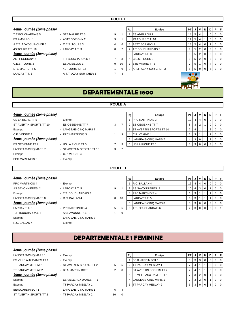| 4ème journée (2ème phase) |                          |          |    | Rg | Equipe                    | <b>PT</b> | J           | v | ΝI       | D | PIF            |  |
|---------------------------|--------------------------|----------|----|----|---------------------------|-----------|-------------|---|----------|---|----------------|--|
| T.T BOUCHARDAIS 5         | - STE MAURE TT 5         | 9        |    |    | <b>ES AMBILLOU 1</b>      | 14        | -5          | 4 |          |   | 0 <sub>1</sub> |  |
| ES AMBILLOU 1             | - ASTT SORIGNY 2         | 9        |    |    | 4S TOURS T.T. 16          | 14        | -5          | 4 |          |   | 0 <sup>1</sup> |  |
| A.T.T. AZAY-SUR-CHER 3    | $-C.E.S. TOURS3$         | 4        | 6  |    | 3 ASTT SORIGNY 2          | 13        | 5           | 4 |          |   | 0 <sup>1</sup> |  |
| 4S TOURS T.T. 16          | - LARCAY T.T. 3          | 8        | 2  |    | <b>IT.T BOUCHARDAIS 5</b> | 9         | $\mathbf b$ |   |          |   | 0 <sub>0</sub> |  |
| 5ème journée (2ème phase) |                          |          |    |    | LARCAY T.T. 3             | 9         | -5          |   | $\Omega$ |   | 0 <sub>0</sub> |  |
| <b>ASTT SORIGNY 2</b>     | - T.T BOUCHARDAIS 5      |          | 3  |    | C.E.S. TOURS 3            | 9         | -5          |   |          | 3 | 0 <sup>1</sup> |  |
| C.E.S. TOURS 3            | - ES AMBILLOU 1          | $\Omega$ | 10 |    | <b>ISTE MAURE TT 5</b>    |           | 5           |   |          |   | 0 <sup>1</sup> |  |
| STE MAURE TT 5            | - 4S TOURS T.T. 16       |          | 9  |    | 8 A.T.T. AZAY-SUR-CHER 3  | 5         | -5          |   |          |   | $01$ 0         |  |
| LARCAY T.T. 3             | - A.T.T. AZAY-SUR-CHER 3 |          | 3  |    |                           |           |             |   |          |   |                |  |

**POULE A**

| US LA RICHE TT 5            | - Exempt   |
|-----------------------------|------------|
| ST AVERTIN SPORTS TT 10     | - ES OES   |
| Exempt                      | - LANGE    |
| C.P. VEIGNE 4               | - PPC $M$  |
| 5ème journée (2ème phase)   |            |
| <b>ES OESIENNE TT 7</b>     | - US LA F  |
| <b>LANGEAIS-CINO MARS 7</b> | - ST AVE   |
| Exempt                      | $-C.P. VE$ |
| PPC MARTINOIS 3             | - Exempt   |

- 
- 
- 
- ST AVERTIN SPORTS TT 10 3 7
- C.P. VEIGNE 4
- 

### **4ème journée** (2ème phase) **Actual Equipe Rg** Equipe **PT** J V N D P F - Exempt 2 2 2 3 2 3 2 3 3 3 4 5 5 6 7 6 7 7 8 7 7 8 7 7 8 7 7 8 7 7 8 7 7 8 7 7 8 7 7 8 7 8 7 7 8 7 7 8 7 7 8 7 8 7 7 8 7 7 8 7 7 8 7 8 7 7 8 7 7 8 7 7 8 7 8 7 8 7 8 7 8 7 8 7 8 7 8 7 8 7 8 7 8 7 8 7 8 7 8 7 8 7 8 7 8 7 8 - ES OESIENNE TT 7  $\begin{array}{ccc} 3 & 7 & 2 \end{array}$  ES OESIENNE TT 7  $\begin{array}{ccc} 8 & 3 & 2 & 1 & 0 & 0 & 0 \\ 8 & 3 & 2 & 1 & 0 & 0 & 0 \end{array}$ - LANGEAIS-CINQ MARS 7 3 ST AVERTIN SPORTS TT 10 7 4 1 2 0 0 0 - PPC MARTINOIS 3 1 9 4 C.P. VEIGNE 4 3 1 1 1 0 0 **5 LANGEAIS-CINQ MARS 7** 4 3 0 1 2 0 0 ES OESIENNE TT 7 - US LA RICHE TT 5 7 3 6 US LA RICHE TT 5 3 3 0 0 3 0 0

PRUT

#### **POULE B**

| 4ème journée (2ème phase) |                      |         | Rg | Equipe                  | PT.             |                |           | JIVINID | P | E                |
|---------------------------|----------------------|---------|----|-------------------------|-----------------|----------------|-----------|---------|---|------------------|
| <b>PPC MARTINOIS 4</b>    | - Exempt             |         |    | R.C. BALLAN 4           | 12              | $\overline{4}$ | 4 I       |         |   | . I 0            |
| AS SAVONNIERES 2          | - LARCAY T.T. 5      | 9       |    | <b>AS SAVONNIERES 2</b> | 10 <sub>1</sub> | 4              | 3 I       |         |   |                  |
| Exempt                    | - T.T. BOUCHARDAIS 6 |         |    | <b>PPC MARTINOIS 4</b>  | 6               | 3              |           |         |   | . I 0            |
| LANGEAIS-CINQ MARS 8      | $-R.C. BALLAN 4$     | 10<br>0 |    | LARCAY T.T. 5           | 6               | 3              |           |         |   | $\overline{1}$ 0 |
| 5ème journée (2ème phase) |                      |         |    | 5 LANGEAIS-CINQ MARS 8  |                 | 3 I            | $\circ$ 1 |         |   | $01$ 0           |
| LARCAY T.T. 5             | - PPC MARTINOIS 4    | 5       |    | . BOUCHARDAIS 6         |                 | -3 I           |           |         |   |                  |

T.T. BOUCHARDAIS 6 - AS SAVONNIERES 2 1 9

## **DEPARTEMENTALE 1 FEMININE**

#### **4ème journée** *(2ème phase)*

| LANGEAIS-CINQ MARS 1      | - Exempt                  |    |                |
|---------------------------|---------------------------|----|----------------|
| ES VILLE AUX DAMES TT 1   | - Exempt                  |    |                |
| TT PARCAY MESLAY 1        | - ST AVERTIN SPORTS TT 2  | 5  | 5              |
| TT PARCAY MESLAY 2        | - BEAUJARDIN BCT 1        | 2  | 8              |
| 5ème journée (2ème phase) |                           |    |                |
| Exempt                    | - ES VILLE AUX DAMES TT 1 |    |                |
| Exempt                    | - TT PARCAY MESLAY 1      |    |                |
| <b>BEAUJARDIN BCT 1</b>   | - LANGEAIS-CINQ MARS 1    | 6  | $\overline{4}$ |
| ST AVERTIN SPORTS TT 2    | - TT PARCAY MESLAY 2      | 10 | $\Omega$       |
|                           |                           |    |                |

Exempt - LANGEAIS-CINQ MARS 8

R.C. BALLAN 4 - Exempt

| LANGEAIS-CINQ MARS 1      | - Exempt                  |    |   | Rg | Equipe                         | PT I |  | N | PF             |                  |
|---------------------------|---------------------------|----|---|----|--------------------------------|------|--|---|----------------|------------------|
| ES VILLE AUX DAMES TT 1   | - Exempt                  |    |   |    | <b>BEAUJARDIN BCT 1</b>        | 9    |  |   | 0 <sub>0</sub> |                  |
| TT PARCAY MESLAY 1        | - ST AVERTIN SPORTS TT 2  | 5. |   |    | <b>ITT PARCAY MESLAY 1</b>     |      |  |   |                | 0 1 0            |
| TT PARCAY MESLAY 2        | - BEAUJARDIN BCT 1        |    | 8 |    | <b>IST AVERTIN SPORTS TT 2</b> |      |  |   |                | $\overline{0}$   |
| 5ème journée (2ème phase) |                           |    |   |    | <b>ES VILLE AUX DAMES TT 1</b> |      |  |   |                | $\overline{0}$   |
| Exempt                    | - ES VILLE AUX DAMES TT 1 |    |   |    | LANGEAIS-CINQ MARS 1           |      |  |   |                | $01$ 0           |
| Exempt                    | - TT PARCAY MESLAY 1      |    |   |    | <b>ITT PARCAY MESLAY 2</b>     |      |  |   |                | $\overline{1}$ 0 |
|                           |                           |    |   |    |                                |      |  |   |                |                  |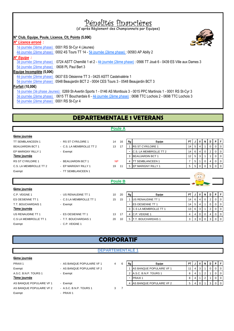## Pénalités financières

(d'après Règlement des Championnats par Equipes)



#### *N° Licence erroné :*

1è journée (3ème phase) : 0001 RS St-Cyr 4 (Jeunes) 4è journée (2ème phase) : 0002 4S Tours TT 14 - 5è journée (2ème phase) : 00583 AP Abilly 2

### *N° Equipe :*

3è journée (2ème phase) : 0724 ASTT Chemillé 1 et 2 - 4è journée (2ème phase) : 0566 TT Joué 6 - 0439 ES Ville aux Dames 3

5è journée (2ème phase) : 0608 PL Paul Bert 3

#### **Equipe Incomplète (5,00€)**

4è journée (2ème phase) : 0637 ES Oésienne TT 3 - 0425 ASTT Castelvalérie 1

5è journée (2ème phase) : 0548 Beaujardin BCT 2 - 0004 CES Tours 3 - 0548 Beaujardin BCT 3

#### **Forfait (10,00€)**

1è journée (3è phase Jeunes) : 0269 St-Avertin Sports 1 - 0146 AS Montlouis 3 - 0015 PPC Martinois 1 - 0001 RS St-Cyr 3 3è journée (2ème phase) : 0615 TT Bouchardais 6 - 4è journée (2ème phase) : 0698 TTC Lochois 2 - 0698 TTC Lochois 3 5è journée (2ème phase) : 0001 RS St-Cyr 4

## **DEPARTEMENTALE 1 VETERANS**

#### **Poule A**

| 6ème journée             |                          |           |    |    |                          |           |                |                                 |              |          |                |
|--------------------------|--------------------------|-----------|----|----|--------------------------|-----------|----------------|---------------------------------|--------------|----------|----------------|
| <b>TT SEMBLANCEEN 1</b>  | - RS ST CYR/LOIRE 1      | 14        | 16 | Rg | Equipe                   | <b>PT</b> |                | V                               | D I          | <b>P</b> |                |
| <b>BEAUJARDIN BCT 1</b>  | - C.S. LA MEMBROLLE TT 2 | 13        | 17 |    | <b>RS ST CYR/LOIRE 1</b> | 14        | 5              | 4                               |              |          |                |
| EP MARIGNY RILLY 1       | - Exempt                 |           |    |    | C.S. LA MEMBROLLE TT 2   | 14        | 6              | $\overline{4}$                  | <sup>2</sup> |          | I 0            |
| 7ème journée             |                          |           |    |    | 3 BEAUJARDIN BCT 1       | 12        | 5 <sup>1</sup> | 3                               |              |          | $\Omega$       |
| <b>RS ST CYR/LOIRE 1</b> | - BEAUJARDIN BCT 1       | <b>NP</b> |    |    | IT SEMBLANCEEN 1         |           | 5              |                                 | 4 I          |          | $\overline{0}$ |
| C.S. LA MEMBROLLE TT 2   | - EP MARIGNY RILLY 1     | 19        | 11 |    | 5 EP MARIGNY RILLY 1     | 5         | 5              | $\overline{0}$                  | .5 I         |          |                |
| Exempt                   | - TT SEMBLANCEEN 1       |           |    |    |                          |           |                |                                 |              |          |                |
|                          |                          |           |    |    |                          |           |                | $\sim$ $\sim$<br>0 <sup>o</sup> |              |          |                |

#### **Poule B**

| <u>6ème journée</u>   |                         |    |    |    |                          |                 |            |          |          |                  |
|-----------------------|-------------------------|----|----|----|--------------------------|-----------------|------------|----------|----------|------------------|
| C.P. VEIGNE 1         | - US RENAUDINE TT 1     | 10 | 20 | Rg | Equipe                   | PT.             | v          | N        | D        | PF               |
| ES OESIENNE TT 1      | - C.S LA MEMBROLLE TT 1 | 15 | 15 |    | <b>US RENAUDINE TT 1</b> | 14 I            | 6 4 1      | $\Omega$ |          | 0 <sup>1</sup>   |
| T.T. BOUCHARDAIS 1    | - Exempt                |    |    |    | <b>IES OESIENNE TT 1</b> | 14 <sub>1</sub> | $5 \mid 4$ |          | $\Omega$ | 0 <sup>1</sup>   |
| 7ème journée          |                         |    |    |    | 3 C.S LA MEMBROLLE TT 1  | 13 <sup>1</sup> | 63         |          |          | 0 <sup>1</sup>   |
| US RENAUDINE TT 1     | - ES OESIENNE TT 1      | 13 | 17 | 4  | C.P. VEIGNE 1            |                 | 40         | $\Omega$ | 4        | 0 <sub>0</sub>   |
| C.S LA MEMBROLLE TT 1 | - T.T. BOUCHARDAIS 1    | 20 | 10 |    | T.T. BOUCHARDAIS 1       | 3               | 3 0        |          |          | $\overline{1}$ 0 |
| Exempt                | - C.P. VEIGNE 1         |    |    |    |                          |                 |            |          |          |                  |

## **CORPORATIF**

#### **DEPARTEMENTALE 1**

#### **6ème journée**

Exempt - PRAXI 1

- 
- 
- 
- AS BANQUE POPULAIRE VF 2 A.S.C. B.N.P. TOURS 1 3 7
- PRAXI 1 AS BANQUE POPULAIRE VF 1 4 6 **Rg Equipe PT J V N D P F** Exempt  $\begin{array}{ccc} \text{Example 1:} & \text{Example 2:} \\ \text{Example 2:} & \text{Example 3:} \\ \text{Example 4:} & \text{Example 5:} \\ \text{Example 6:} & \text{Example 7:} \\ \text{Example 7:} & \text{Example 8:} \\ \text{Example 8:} & \text{Example 9:} \\ \text{Example 1:} & \text{Example 1:} \\ \text{Example 1:} & \text{Example 1:} \\ \text{Example 2:} & \text{Example 1:} \\ \text{Example 3:} & \text{Example 1:} \\ \text{Example 4:} & \text{Example 1:} \\ \text{Example 5:}$ A.S.C. B.N.P. TOURS 1 - Exempt 2 A.S.C. B.N.P. TOURS 1 8 4 1 2 1 0 0 **7ème journée** en la communiste de la communiste de la production de la production de la production de la production de la production de la production de la production de la production de la production de la production de AS BANQUE POPULAIRE VF 1 - Exempt  $\begin{vmatrix} 4 & 4 \end{vmatrix}$  AS BANQUE POPULAIRE VF 2  $\begin{vmatrix} 5 & 4 \end{vmatrix}$  0
	-

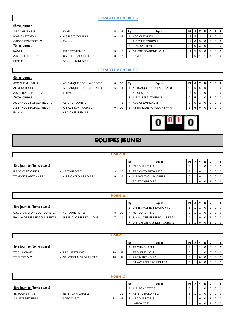#### **6ème journée**

- Exempt ASC CHEMINEAU 1
- 
- ASC CHEMINEAU 1 KAMI 1 5 5 Rg **Equipe PT J V N D P F** ICAR SYSTEMS 1  $-$  A.S.P.T.T. TOURS 1 6 4 1 ASC CHEMINEAU 1  $\begin{bmatrix} 12 & 5 & 3 & 1 & 1 & 0 & 0 \\ 12 & 5 & 3 & 1 & 1 & 0 & 0 \\ 11 & 11 & 0 & 10 & 0 & 0 & 0 \\ 0 & 0 & 0 & 0 & 0 & 0 & 0 \\ 0 & 0 & 0 & 0 & 0 & 0 & 0 \\ 0 & 0 & 0 & 0 & 0 & 0 & 0 \\ 0 & 0 & 0 & 0 & 0 & 0 & 0 \\ 0$ CAISSE EPARGNE LC 1 - Exempt - A.S.P.T.T. TOURS 1 12 6 3 0 3 0 0 **7ème journée** - ICAR SYSTEMS 1 12 6 3 0 3 0 0 KAMI 1  $\begin{array}{ccc} \text{KAMI} & 3 & 7 & 4 & \text{CAISSE EPARGNE LC} & 1 & 11 & 5 & 3 & 0 & 2 & 0 & 0 \\ \end{array}$ A.S.P.T.T. TOURS 1 - CAISSE EPARGNE LC 1 3 7 5 KAMI 1 9 6 1 1 4 0 0

#### **DEPARTEMENTALE 3**

#### **6ème journée**

A.S.C. B.N.P. TOURS 2 - Exempt AS BANQUE POPULAIRE VF 3 - AS CHU TOURS 1 7 AS BANQUE POPULAIRE VF 4 - A.S.C. B.N.P. TOURS 2 0 Exempt - ASC CHEMINEAU 2

| ASC CHEMINEAU 2 | - AS BANQUE POPULAIRE VF 3 |   |
|-----------------|----------------------------|---|
| AS CHU TOURS 1  | - AS BANQUE POPULAIRE VF 4 | 6 |

- 
- 
- 

| ASC CHEMINEAU 2<br>- AS BANQUE POPULAIRE VF 3       | 0 | 10 | Rg | Equipe                   | PT. |     | N |  |                  |
|-----------------------------------------------------|---|----|----|--------------------------|-----|-----|---|--|------------------|
| AS CHU TOURS 1<br>- AS BANQUE POPULAIRE VF 4        | 6 |    |    | AS BANQUE POPULAIRE VF3  | 18  |     |   |  |                  |
| A.S.C. B.N.P. TOURS 2<br>- Exempt                   |   |    |    | AS CHU TOURS 1           | 14  | 6 I |   |  | $\overline{1}$ 0 |
| 7ème journée                                        |   |    |    | 3 A.S.C. B.N.P. TOURS 2  | 9   |     |   |  |                  |
| AS BANQUE POPULAIRE VF 3<br>- AS CHU TOURS 1        |   |    |    | ASC CHEMINEAU 2          | 9   |     |   |  |                  |
| AS BANQUE POPULAIRE VF 4<br>- A.S.C. B.N.P. TOURS 2 | 0 | 10 |    | AS BANQUE POPULAIRE VF 4 |     |     |   |  |                  |
|                                                     |   |    |    |                          |     |     |   |  |                  |



## **EQUIPES JEUNES**

#### **Poule A**

#### 1ère journée (3ème phase)

|                                  |                         |   | .  |                         |                             |      |  |        |         |                |
|----------------------------------|-------------------------|---|----|-------------------------|-----------------------------|------|--|--------|---------|----------------|
|                                  |                         |   |    | Rg                      | Equipe                      | PT I |  |        | PF      |                |
| 1ère journée <i>(3ème phase)</i> |                         |   |    | <b>IAS TOURS T.T. 1</b> |                             |      |  | $01$ 0 |         |                |
| RS ST CYR/LOIRE 1                | - 4S TOURS T.T. 1       | 3 | 15 |                         | <b>ITT MONTS ARTANNES 1</b> |      |  |        | $01$ 0  |                |
| TT MONTS ARTANNES 1              | - A.S MONTLOUIS/LOIRE 1 | 9 | -9 |                         | A.S MONTLOUIS/LOIRE 1       |      |  |        |         | $\overline{0}$ |
|                                  |                         |   |    |                         | 4 RS ST CYR/LOIRE 1         |      |  |        | $0$   0 |                |

| <b>Poule B</b>                                             |        |           |  |                              |  |  |  |  |  |  |  |  |  |  |
|------------------------------------------------------------|--------|-----------|--|------------------------------|--|--|--|--|--|--|--|--|--|--|
|                                                            | Equipe | <b>PT</b> |  |                              |  |  |  |  |  |  |  |  |  |  |
| 1ère journée (3ème phase)                                  |        |           |  | U.S.E. AVOINE-BEAUMONT 1     |  |  |  |  |  |  |  |  |  |  |
| U.S. CHAMBRAY-LES-TOURS 1<br>- 4S TOURS T.T. 2             | 8      | 10        |  | 4S TOURS T.T. 2              |  |  |  |  |  |  |  |  |  |  |
| Entente OESIENNE-PAUL BERT 1<br>- U.S.E. AVOINE-BEAUMONT 1 |        | 11        |  | Entente OESIENNE-PAUL BERT 1 |  |  |  |  |  |  |  |  |  |  |
|                                                            |        |           |  | U.S. CHAMBRAY-LES-TOURS 1    |  |  |  |  |  |  |  |  |  |  |

|                                  |                          |    |  |                          | Equipe                         | PT | J | v | N | D |  | PIF            |  |  |  |
|----------------------------------|--------------------------|----|--|--------------------------|--------------------------------|----|---|---|---|---|--|----------------|--|--|--|
| 1ère journée <i>(3ème phase)</i> |                          |    |  |                          | <b>CHINONAIS1</b><br><b>TT</b> |    |   |   |   |   |  | $\overline{0}$ |  |  |  |
| <b>TT CHINONAIS 1</b>            | - PPC MARTINOIS 1        | 18 |  | -                        | <b>TT BLERE V.C. 1</b>         |    |   |   |   |   |  | $\overline{0}$ |  |  |  |
| TT BLERE V.C. 1                  | - ST AVERTIN SPORTS TT 1 | 18 |  |                          | <b>PPC MARTINOIS 1</b>         |    |   |   |   |   |  |                |  |  |  |
|                                  |                          |    |  | $\overline{\phantom{a}}$ | <b>ST AVERTIN SPORTS TT 1</b>  |    |   |   |   |   |  |                |  |  |  |

|                                     | <b>Poule D</b>      |    |   |                          |  |  |  |  |      |  |                            |  |  |  |  |
|-------------------------------------|---------------------|----|---|--------------------------|--|--|--|--|------|--|----------------------------|--|--|--|--|
| <b>PT</b><br>Rg<br>V<br>N<br>Equipe |                     |    |   |                          |  |  |  |  | PIFI |  |                            |  |  |  |  |
| <u>1ère journée (3ème phase)</u>    |                     |    |   | A.S. FONDETTES 1         |  |  |  |  |      |  | $\overline{0}$             |  |  |  |  |
| 4S TOURS T.T. 3                     | - RS ST CYR/LOIRE 2 | 11 |   | <b>RS ST CYR/LOIRE 2</b> |  |  |  |  |      |  | $\overline{101}$           |  |  |  |  |
| A.S. FONDETTES 1                    | - LARCAY T.T. 1     | 13 |   | <b>4S TOURS T.T. 3</b>   |  |  |  |  |      |  | $\overline{\phantom{0}}$ 0 |  |  |  |  |
|                                     |                     |    | ۰ | LARCAY T.T. 1            |  |  |  |  |      |  | $\overline{0}$             |  |  |  |  |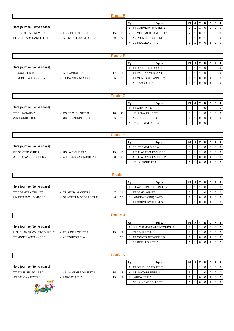| <b>Poule E</b>                                                |                      |                |    |                          |                                |  |                |  |             |          |                |             |                |  |
|---------------------------------------------------------------|----------------------|----------------|----|--------------------------|--------------------------------|--|----------------|--|-------------|----------|----------------|-------------|----------------|--|
|                                                               |                      |                |    | Rg                       | Equipe                         |  | PT             |  | ۷           | N        | D              | P           | F              |  |
| 1ère journée (3ème phase)                                     |                      |                |    | $\overline{ }$           | <b>ITT CORMERY-TRUYES 1</b>    |  | 3              |  |             | 0        | 0              | 0           | $\mathbf 0$    |  |
| <b>TT CORMERY-TRUYES 1</b><br>- ES RIDELLOIS TT 1             |                      |                | 3  | 2                        | <b>ES VILLE AUX DAMES TT 1</b> |  | $\overline{2}$ |  | 0           |          | $\overline{0}$ | 0           | $\overline{0}$ |  |
| 15<br>ES VILLE AUX DAMES TT 1<br>9<br>- A.S MONTLOUIS/LOIRE 2 |                      |                |    | ۰                        | A.S MONTLOUIS/LOIRE 2          |  | $\overline{2}$ |  | $\mathbf 0$ |          | $\mathbf 0$    | 0           | $\overline{0}$ |  |
|                                                               |                      |                |    | 4                        | <b>ES RIDELLOIS TT 1</b>       |  |                |  | $\mathbf 0$ | $\Omega$ |                |             | $\overline{0}$ |  |
|                                                               |                      |                |    |                          |                                |  |                |  |             |          |                |             |                |  |
|                                                               |                      | <b>Poule F</b> |    |                          |                                |  |                |  |             |          |                |             |                |  |
|                                                               |                      |                |    | Rg                       | Equipe                         |  | <b>PT</b>      |  | v           | N        | D              | P           | F              |  |
| 1ère journée (3ème phase)                                     |                      |                |    |                          | <b>TT JOUE LES TOURS 1</b>     |  | 3              |  |             | 0        | 0              | 0           | 0              |  |
| <b>TT JOUE LES TOURS 1</b>                                    | - A.C. AMBOISE 1     | 17             |    | $\overline{\phantom{a}}$ | TT PARCAY MESLAY 1             |  | 3              |  |             | $\Omega$ | $\overline{0}$ | $\mathbf 0$ | $\mathbf 0$    |  |
| TT MONTS ARTANNES 2                                           | - TT PARCAY MESLAY 1 | 6              | 12 | 3                        | <b>TT MONTS ARTANNES 2</b>     |  |                |  | $\mathbf 0$ | 0        |                | $\Omega$    | $\overline{0}$ |  |

|                                  |                     | oule G  |        |                       |   |   |   |       |                |
|----------------------------------|---------------------|---------|--------|-----------------------|---|---|---|-------|----------------|
|                                  |                     | Rg      | Equipe | <b>PT</b>             |   | N |   | 1 F I |                |
| 1ère journée <i>(3ème phase)</i> |                     |         |        | <b>TT CHINONAIS 2</b> |   |   |   |       | $\overline{0}$ |
| <b>TT CHINONAIS 2</b>            | - RS ST CYR/LOIRE 3 | 18      | -      | US RENAUDINE TT 1     | N |   | ν |       | $\overline{0}$ |
| A.S. FONDETTES 2                 | - US RENAUDINE TT 1 | 6<br>12 |        | A.S. FONDETTES 2      |   |   |   |       | $\overline{0}$ |
|                                  |                     |         |        | RS ST CYR/LOIRE 3     |   |   |   |       |                |

|                                  |                          |    |    |   | Equipe                   | <b>PT</b> |  | V           | N |  |  |  |  |  |  |
|----------------------------------|--------------------------|----|----|---|--------------------------|-----------|--|-------------|---|--|--|--|--|--|--|
| <u>1ère journée (3ème phase)</u> |                          |    |    |   | <b>RS ST CYR/LOIRE 4</b> | J         |  |             |   |  |  |  |  |  |  |
| <b>RS ST CYR/LOIRE 4</b>         | - US LA RICHE TT 1       | 15 |    |   | A.T.T. AZAY-SUR-CHER 1   | J         |  |             |   |  |  |  |  |  |  |
| A.T.T. AZAY-SUR-CHER 2           | - A.T.T. AZAY-SUR-CHER 1 | 8  | 10 |   | A.T.T. AZAY-SUR-CHER 2   |           |  | 0           |   |  |  |  |  |  |  |
|                                  |                          |    |    | ۰ | US LA RICHE TT 1         |           |  | $\mathbf 0$ |   |  |  |  |  |  |  |

| 'oule                            |                          |   |    |    |                               |     |  |  |   |  |  |                |  |
|----------------------------------|--------------------------|---|----|----|-------------------------------|-----|--|--|---|--|--|----------------|--|
|                                  |                          |   |    | Rg | Equipe                        | PT  |  |  |   |  |  |                |  |
| 1ère journée <i>(3ème phase)</i> |                          |   |    |    | <b>ST AVERTIN SPORTS TT 2</b> | ు   |  |  |   |  |  | $\overline{0}$ |  |
| TT CORMERY-TRUYES 2              | - TT SEMBLANCEEN 1       |   | 11 | -  | <b>TT SEMBLANCEEN 1</b>       | - 0 |  |  | 0 |  |  |                |  |
| LANGEAIS-CINQ MARS 1             | - ST AVERTIN SPORTS TT 2 | 6 | 12 |    | LANGEAIS-CINQ MARS 1          |     |  |  |   |  |  |                |  |
|                                  |                          |   |    | -  | <b>ITT CORMERY-TRUYES 2</b>   |     |  |  |   |  |  |                |  |

|                                  |                     |    |    | Rg | Equipe                     | <b>PT</b> |  | V            | N |  |  |  |  |  |  |
|----------------------------------|---------------------|----|----|----|----------------------------|-----------|--|--------------|---|--|--|--|--|--|--|
| <u>1ère journée (3ème phase)</u> |                     |    |    |    | U.S. CHAMBRAY-LES-TOURS 2  |           |  |              |   |  |  |  |  |  |  |
| U.S. CHAMBRAY-LES-TOURS 2        | - ES RIDELLOIS TT 2 | 15 | 3  |    | 4S TOURS T.T. 4            | J         |  |              |   |  |  |  |  |  |  |
| TT MONTS ARTANNES 3              | - 4S TOURS T.T. 4   |    | 17 |    | <b>TT MONTS ARTANNES 3</b> |           |  | $\mathbf{0}$ |   |  |  |  |  |  |  |
|                                  |                     |    |    |    | <b>IES RIDELLOIS TT 2</b>  |           |  | $\cdot$ 0    |   |  |  |  |  |  |  |

|                                  |                        |    | Rg | Equipe | PT                          |   | νı | N | D | D |  |  |  |  |
|----------------------------------|------------------------|----|----|--------|-----------------------------|---|----|---|---|---|--|--|--|--|
| <u>1ère journée (3ème phase)</u> |                        |    |    |        | JOUE LES TOURS 2            | 3 |    |   |   |   |  |  |  |  |
| TT JOUE LES TOURS 2              | - CS LA MEMBROLLE TT 1 | 15 | Э  |        | AS SAVONNIERES 1            | P |    |   |   |   |  |  |  |  |
| AS SAVONNIERES 1                 | - LARCAY T.T. 2        | 15 | 3  |        | LARCAY T.T. 2               |   |    |   |   |   |  |  |  |  |
|                                  |                        |    |    |        | <b>CS LA MEMBROLLE TT 1</b> |   |    |   |   |   |  |  |  |  |